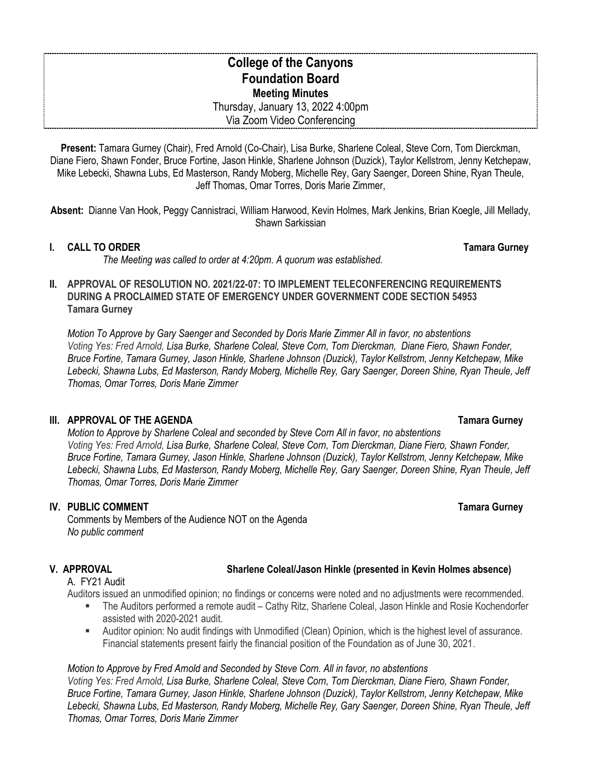# **College of the Canyons Foundation Board Meeting Minutes** Thursday, January 13, 2022 4:00pm Via Zoom Video Conferencing

**Present:** Tamara Gurney (Chair), Fred Arnold (Co-Chair), Lisa Burke, Sharlene Coleal, Steve Corn, Tom Dierckman, Diane Fiero, Shawn Fonder, Bruce Fortine, Jason Hinkle, Sharlene Johnson (Duzick), Taylor Kellstrom, Jenny Ketchepaw, Mike Lebecki, Shawna Lubs, Ed Masterson, Randy Moberg, Michelle Rey, Gary Saenger, Doreen Shine, Ryan Theule, Jeff Thomas, Omar Torres, Doris Marie Zimmer,

**Absent:** Dianne Van Hook, Peggy Cannistraci, William Harwood, Kevin Holmes, Mark Jenkins, Brian Koegle, Jill Mellady, Shawn Sarkissian

### **I. CALL TO ORDER Tamara Gurney**

*The Meeting was called to order at 4:20pm. A quorum was established.*

### **II. APPROVAL OF RESOLUTION NO. 2021/22-07: TO IMPLEMENT TELECONFERENCING REQUIREMENTS DURING A PROCLAIMED STATE OF EMERGENCY UNDER GOVERNMENT CODE SECTION 54953 Tamara Gurney**

*Motion To Approve by Gary Saenger and Seconded by Doris Marie Zimmer All in favor, no abstentions Voting Yes: Fred Arnold, Lisa Burke, Sharlene Coleal, Steve Corn, Tom Dierckman, Diane Fiero, Shawn Fonder, Bruce Fortine, Tamara Gurney, Jason Hinkle, Sharlene Johnson (Duzick), Taylor Kellstrom, Jenny Ketchepaw, Mike Lebecki, Shawna Lubs, Ed Masterson, Randy Moberg, Michelle Rey, Gary Saenger, Doreen Shine, Ryan Theule, Jeff Thomas, Omar Torres, Doris Marie Zimmer*

### **III. APPROVAL OF THE AGENDA Tamara Gurney**

*Motion to Approve by Sharlene Coleal and seconded by Steve Corn All in favor, no abstentions Voting Yes: Fred Arnold, Lisa Burke, Sharlene Coleal, Steve Corn, Tom Dierckman, Diane Fiero, Shawn Fonder, Bruce Fortine, Tamara Gurney, Jason Hinkle, Sharlene Johnson (Duzick), Taylor Kellstrom, Jenny Ketchepaw, Mike Lebecki, Shawna Lubs, Ed Masterson, Randy Moberg, Michelle Rey, Gary Saenger, Doreen Shine, Ryan Theule, Jeff Thomas, Omar Torres, Doris Marie Zimmer*

### **IV.** PUBLIC COMMENT **TAMAGE ASSAULT TAMAGE ASSAULT ASSAULT ASSAULT ASSAULT ASSAULT AND TAMAGE ASSAULT AND TAMAGE ASSAULT ASSAULT ASSAULT AND TAMAGE ASSAULT AND TAMAGE ASSAULT ASSAULT ASSAULT ASSAULT ASSAULT ASSAULT ASSA**

Comments by Members of the Audience NOT on the Agenda *No public comment*

### **V. APPROVAL Sharlene Coleal/Jason Hinkle (presented in Kevin Holmes absence)**

A. FY21 Audit

Auditors issued an unmodified opinion; no findings or concerns were noted and no adjustments were recommended.

- The Auditors performed a remote audit Cathy Ritz, Sharlene Coleal, Jason Hinkle and Rosie Kochendorfer assisted with 2020-2021 audit.
- Auditor opinion: No audit findings with Unmodified (Clean) Opinion, which is the highest level of assurance. Financial statements present fairly the financial position of the Foundation as of June 30, 2021.

### *Motion to Approve by Fred Arnold and Seconded by Steve Corn. All in favor, no abstentions*

*Voting Yes: Fred Arnold, Lisa Burke, Sharlene Coleal, Steve Corn, Tom Dierckman, Diane Fiero, Shawn Fonder, Bruce Fortine, Tamara Gurney, Jason Hinkle, Sharlene Johnson (Duzick), Taylor Kellstrom, Jenny Ketchepaw, Mike Lebecki, Shawna Lubs, Ed Masterson, Randy Moberg, Michelle Rey, Gary Saenger, Doreen Shine, Ryan Theule, Jeff Thomas, Omar Torres, Doris Marie Zimmer*